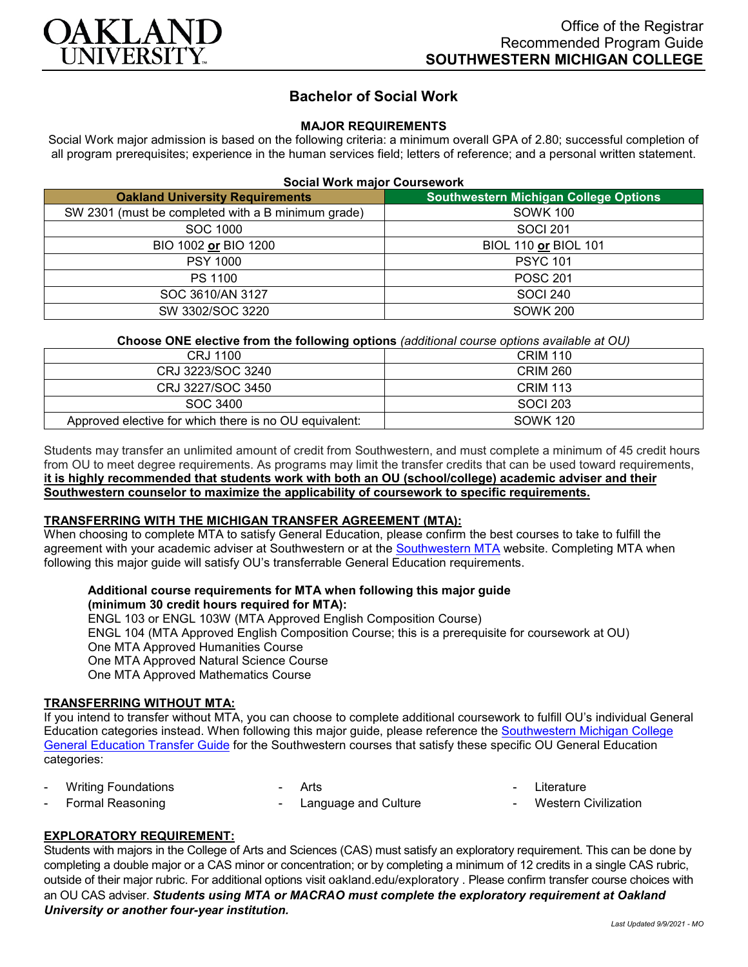

# **Bachelor of Social Work**

## **MAJOR REQUIREMENTS**

Social Work major admission is based on the following criteria: a minimum overall GPA of 2.80; successful completion of all program prerequisites; experience in the human services field; letters of reference; and a personal written statement.

| <b>Social Work major Coursework</b>                |                                              |  |
|----------------------------------------------------|----------------------------------------------|--|
| <b>Oakland University Requirements</b>             | <b>Southwestern Michigan College Options</b> |  |
| SW 2301 (must be completed with a B minimum grade) | <b>SOWK 100</b>                              |  |
| SOC 1000                                           | SOCI 201                                     |  |
| BIO 1002 or BIO 1200                               | <b>BIOL 110 or BIOL 101</b>                  |  |
| <b>PSY 1000</b>                                    | <b>PSYC 101</b>                              |  |
| PS 1100                                            | <b>POSC 201</b>                              |  |
| SOC 3610/AN 3127                                   | <b>SOCI 240</b>                              |  |
| SW 3302/SOC 3220                                   | <b>SOWK 200</b>                              |  |
|                                                    |                                              |  |

## **Choose ONE elective from the following options** *(additional course options available at OU)*

| CRJ 1100                                               | <b>CRIM 110</b> |
|--------------------------------------------------------|-----------------|
| CRJ 3223/SOC 3240                                      | <b>CRIM 260</b> |
| CRJ 3227/SOC 3450                                      | <b>CRIM 113</b> |
| SOC 3400                                               | SOCI 203        |
| Approved elective for which there is no OU equivalent: | <b>SOWK 120</b> |

Students may transfer an unlimited amount of credit from Southwestern, and must complete a minimum of 45 credit hours from OU to meet degree requirements. As programs may limit the transfer credits that can be used toward requirements, **it is highly recommended that students work with both an OU (school/college) academic adviser and their Southwestern counselor to maximize the applicability of coursework to specific requirements.**

#### **TRANSFERRING WITH THE MICHIGAN TRANSFER AGREEMENT (MTA):**

When choosing to complete MTA to satisfy General Education, please confirm the best courses to take to fulfill the agreement with your academic adviser at Southwestern or at the [Southwestern MTA](https://www.swmich.edu/sites/swmich.edu/files/academics/curriculum-guides/Michigan-Transfer-Agreement.pdf?v=2020-03-17T18:59:30Z) website. Completing MTA when following this major guide will satisfy OU's transferrable General Education requirements.

## **Additional course requirements for MTA when following this major guide (minimum 30 credit hours required for MTA):**

ENGL 103 or ENGL 103W (MTA Approved English Composition Course) ENGL 104 (MTA Approved English Composition Course; this is a prerequisite for coursework at OU) One MTA Approved Humanities Course One MTA Approved Natural Science Course One MTA Approved Mathematics Course

#### **TRANSFERRING WITHOUT MTA:**

If you intend to transfer without MTA, you can choose to complete additional coursework to fulfill OU's individual General Education categories instead. When following this major guide, please reference the [Southwestern Michigan College](https://www.oakland.edu/Assets/Oakland/program-guides/southwestern-michigan-college/university-general-education-requirements/Southwestern%20Gen%20Ed.pdf)  [General Education Transfer Guide](https://www.oakland.edu/Assets/Oakland/program-guides/southwestern-michigan-college/university-general-education-requirements/Southwestern%20Gen%20Ed.pdf) for the Southwestern courses that satisfy these specific OU General Education categories:

- Writing Foundations
- **Arts** 
	- Language and Culture
- Literature
- Western Civilization

## **EXPLORATORY REQUIREMENT:**

Formal Reasoning

Students with majors in the College of Arts and Sciences (CAS) must satisfy an exploratory requirement. This can be done by completing a double major or a CAS minor or concentration; or by completing a minimum of 12 credits in a single CAS rubric, outside of their major rubric. For additional options visit [oakland.edu/exploratory](http://www.oakland.edu/exploratory) . Please confirm transfer course choices with an OU CAS adviser. *Students using MTA or MACRAO must complete the exploratory requirement at Oakland University or another four-year institution.*